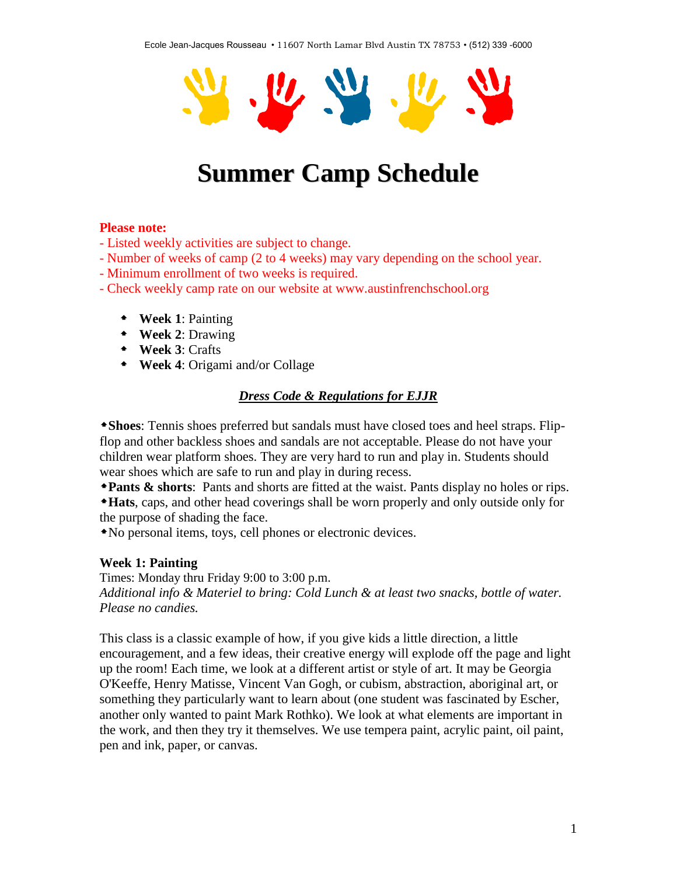

# **Summer Camp Schedule**

### **Please note:**

- Listed weekly activities are subject to change.

- Number of weeks of camp (2 to 4 weeks) may vary depending on the school year.
- Minimum enrollment of two weeks is required.
- Check weekly camp rate on our website at www.austinfrenchschool.org
	- **Week 1**: Painting
	- **Week 2**: Drawing
	- **Week 3**: Crafts
	- **Week 4**: Origami and/or Collage

## *Dress Code & Regulations for EJJR*

**Shoes**: Tennis shoes preferred but sandals must have closed toes and heel straps. Flipflop and other backless shoes and sandals are not acceptable. Please do not have your children wear platform shoes. They are very hard to run and play in. Students should wear shoes which are safe to run and play in during recess.

**Pants & shorts**: Pants and shorts are fitted at the waist. Pants display no holes or rips.

**Hats**, caps, and other head coverings shall be worn properly and only outside only for the purpose of shading the face.

No personal items, toys, cell phones or electronic devices.

### **Week 1: Painting**

Times: Monday thru Friday 9:00 to 3:00 p.m. *Additional info & Materiel to bring: Cold Lunch & at least two snacks, bottle of water. Please no candies.*

This class is a classic example of how, if you give kids a little direction, a little encouragement, and a few ideas, their creative energy will explode off the page and light up the room! Each time, we look at a different artist or style of art. It may be Georgia O'Keeffe, Henry Matisse, Vincent Van Gogh, or cubism, abstraction, aboriginal art, or something they particularly want to learn about (one student was fascinated by Escher, another only wanted to paint Mark Rothko). We look at what elements are important in the work, and then they try it themselves. We use tempera paint, acrylic paint, oil paint, pen and ink, paper, or canvas.